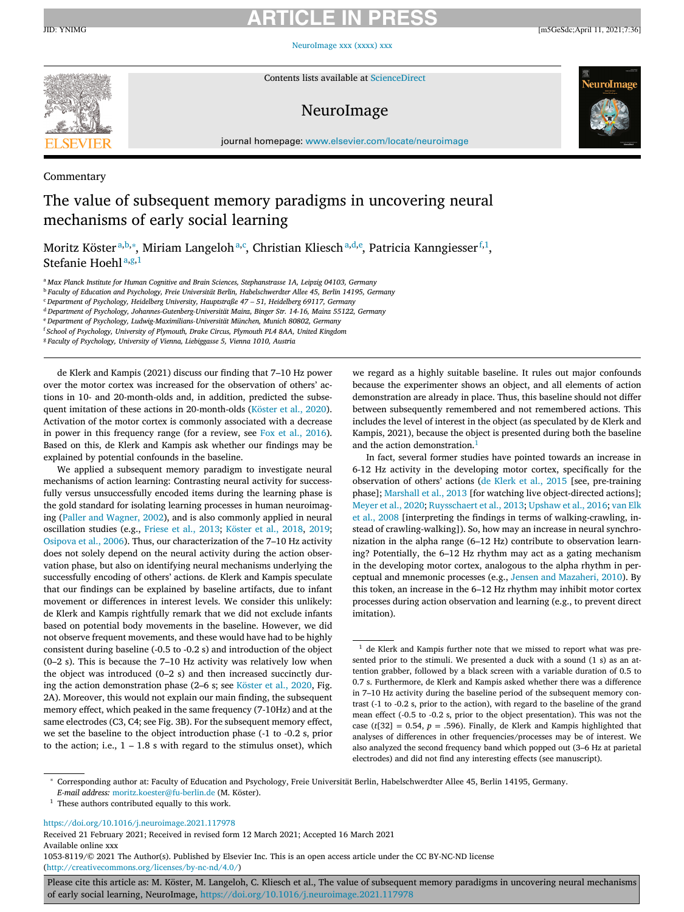# **ARTICLE IN PRESS**

[NeuroImage](https://doi.org/10.1016/j.neuroimage.2021.117978) xxx (xxxx) xxx



Contents lists available at [ScienceDirect](http://www.ScienceDirect.com)

# NeuroImage





journal homepage: [www.elsevier.com/locate/neuroimage](http://www.elsevier.com/locate/neuroimage)

## Commentary

# The value of subsequent memory paradigms in uncovering neural mechanisms of early social learning

Moritz Kösterª,b,\*, Miriam Langelohª,¢, Christian Klieschª,d,e, Patricia Kanngiesser f,1, Stefanie Hoehl<sup>a,g,1</sup>

<sup>a</sup> *Max Planck Institute for Human Cognitive and Brain Sciences, Stephanstrasse 1A, Leipzig 04103, Germany*

<sup>b</sup> *Faculty of Education and Psychology, Freie Universität Berlin, Habelschwerdter Allee 45, Berlin 14195, Germany*

<sup>c</sup> *Department of Psychology, Heidelberg University, Hauptstraße 47 – 51, Heidelberg 69117, Germany*

<sup>d</sup> *Department of Psychology, Johannes-Gutenberg-Universität Mainz, Binger Str. 14-16, Mainz 55122, Germany*

<sup>e</sup> *Department of Psychology, Ludwig-Maximilians-Universität München, Munich 80802, Germany*

<sup>f</sup> *School of Psychology, University of Plymouth, Drake Circus, Plymouth PL4 8AA, United Kingdom*

<sup>g</sup> *Faculty of Psychology, University of Vienna, Liebiggasse 5, Vienna 1010, Austria*

de Klerk and Kampis (2021) discuss our finding that 7–10 Hz power over the motor cortex was increased for the observation of others' actions in 10- and 20-month-olds and, in addition, predicted the subsequent imitation of these actions in 20-month-olds [\(Köster](#page-1-0) et al., 2020). Activation of the motor cortex is commonly associated with a decrease in power in this frequency range (for a review, see Fox et al., [2016\)](#page-1-0). Based on this, de Klerk and Kampis ask whether our findings may be explained by potential confounds in the baseline.

We applied a subsequent memory paradigm to investigate neural mechanisms of action learning: Contrasting neural activity for successfully versus unsuccessfully encoded items during the learning phase is the gold standard for isolating learning processes in human neuroimaging (Paller and [Wagner,](#page-1-0) 2002), and is also commonly applied in neural oscillation studies (e.g., [Friese](#page-1-0) et al., 2013; [Köster](#page-1-0) et al., 2018, [2019;](#page-1-0) [Osipova](#page-1-0) et al., 2006). Thus, our characterization of the 7–10 Hz activity does not solely depend on the neural activity during the action observation phase, but also on identifying neural mechanisms underlying the successfully encoding of others' actions. de Klerk and Kampis speculate that our findings can be explained by baseline artifacts, due to infant movement or differences in interest levels. We consider this unlikely: de Klerk and Kampis rightfully remark that we did not exclude infants based on potential body movements in the baseline. However, we did not observe frequent movements, and these would have had to be highly consistent during baseline (-0.5 to -0.2 s) and introduction of the object (0–2 s). This is because the 7–10 Hz activity was relatively low when the object was introduced (0–2 s) and then increased succinctly during the action demonstration phase (2–6 s; see [Köster](#page-1-0) et al., 2020, Fig. 2A). Moreover, this would not explain our main finding, the subsequent memory effect, which peaked in the same frequency (7-10Hz) and at the same electrodes (C3, C4; see Fig. 3B). For the subsequent memory effect, we set the baseline to the object introduction phase (-1 to -0.2 s, prior to the action; i.e.,  $1 - 1.8$  s with regard to the stimulus onset), which we regard as a highly suitable baseline. It rules out major confounds because the experimenter shows an object, and all elements of action demonstration are already in place. Thus, this baseline should not differ between subsequently remembered and not remembered actions. This includes the level of interest in the object (as speculated by de Klerk and Kampis, 2021), because the object is presented during both the baseline and the action demonstration.<sup>1</sup>

In fact, several former studies have pointed towards an increase in 6-12 Hz activity in the developing motor cortex, specifically for the observation of others' actions (de [Klerk](#page-1-0) et al., 2015 [see, pre-training phase]; [Marshall](#page-1-0) et al., 2013 [for watching live object-directed actions]; [Meyer](#page-1-0) et al., 2020; [Ruysschaert](#page-1-0) et al., 2013; [Upshaw](#page-1-0) et al., 2016; van Elk et al., 2008 [interpreting the findings in terms of [walking-crawling,](#page-1-0) instead of crawling-walking]). So, how may an increase in neural synchronization in the alpha range (6–12 Hz) contribute to observation learning? Potentially, the 6–12 Hz rhythm may act as a gating mechanism in the developing motor cortex, analogous to the alpha rhythm in perceptual and mnemonic processes (e.g., Jensen and [Mazaheri,](#page-1-0) 2010). By this token, an increase in the 6–12 Hz rhythm may inhibit motor cortex processes during action observation and learning (e.g., to prevent direct imitation).

<sup>∗</sup> Corresponding author at: Faculty of Education and Psychology, Freie Universität Berlin, Habelschwerdter Allee 45, Berlin 14195, Germany. *E-mail address:* [moritz.koester@fu-berlin.de](mailto:moritz.koester@fu-berlin.de) (M. Köster).

<https://doi.org/10.1016/j.neuroimage.2021.117978>

Received 21 February 2021; Received in revised form 12 March 2021; Accepted 16 March 2021 Available online xxx 1053-8119/© 2021 The Author(s). Published by Elsevier Inc. This is an open access article under the CC BY-NC-ND license

[\(http://creativecommons.org/licenses/by-nc-nd/4.0/\)](http://creativecommons.org/licenses/by-nc-nd/4.0/)

Please cite this article as: M. Köster, M. Langeloh, C. Kliesch et al., The value of subsequent memory paradigms in uncovering neural mechanisms of early social learning, NeuroImage, <https://doi.org/10.1016/j.neuroimage.2021.117978>

 $^{\rm 1}$ de Klerk and Kampis further note that we missed to report what was presented prior to the stimuli. We presented a duck with a sound (1 s) as an attention grabber, followed by a black screen with a variable duration of 0.5 to 0.7 s. Furthermore, de Klerk and Kampis asked whether there was a difference in 7–10 Hz activity during the baseline period of the subsequent memory contrast (-1 to -0.2 s, prior to the action), with regard to the baseline of the grand mean effect (-0.5 to -0.2 s, prior to the object presentation). This was not the case ( $t[32] = 0.54$ ,  $p = .596$ ). Finally, de Klerk and Kampis highlighted that analyses of differences in other frequencies/processes may be of interest. We also analyzed the second frequency band which popped out (3–6 Hz at parietal electrodes) and did not find any interesting effects (see manuscript).

 $<sup>1</sup>$  These authors contributed equally to this work.</sup>